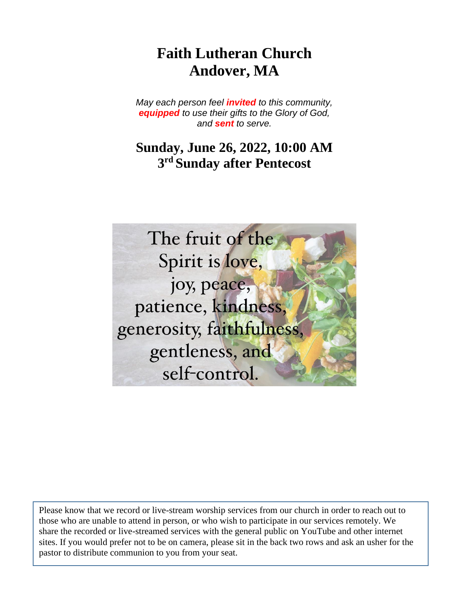# **Faith Lutheran Church Andover, MA**

*May each person feel invited to this community, equipped to use their gifts to the Glory of God, and sent to serve.*

## **Sunday, June 26, 2022, 10:00 AM 3 rd Sunday after Pentecost**



Please know that we record or live-stream worship services from our church in order to reach out to those who are unable to attend in person, or who wish to participate in our services remotely. We share the recorded or live-streamed services with the general public on YouTube and other internet sites. If you would prefer not to be on camera, please sit in the back two rows and ask an usher for the pastor to distribute communion to you from your seat.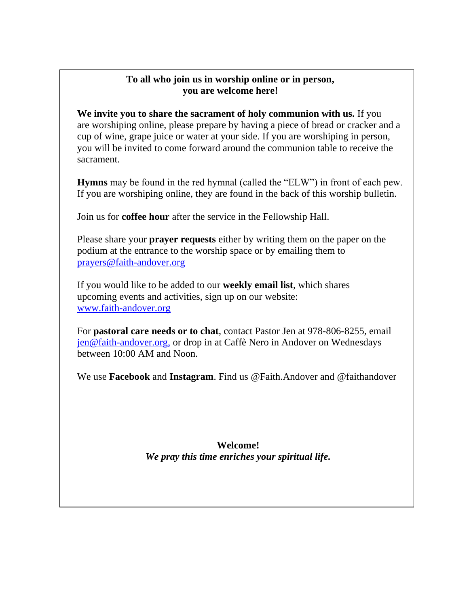## **To all who join us in worship online or in person, you are welcome here!**

**We invite you to share the sacrament of holy communion with us.** If you are worshiping online, please prepare by having a piece of bread or cracker and a cup of wine, grape juice or water at your side. If you are worshiping in person, you will be invited to come forward around the communion table to receive the sacrament.

**Hymns** may be found in the red hymnal (called the "ELW") in front of each pew. If you are worshiping online, they are found in the back of this worship bulletin.

Join us for **coffee hour** after the service in the Fellowship Hall.

Please share your **prayer requests** either by writing them on the paper on the podium at the entrance to the worship space or by emailing them to [prayers@faith-andover.org](mailto:prayers@faith-andover.org)

If you would like to be added to our **weekly email list**, which shares upcoming events and activities, sign up on our website: [www.faith-andover.org](http://www.faith-andover.org/)

For **pastoral care needs or to chat**, contact Pastor Jen at 978-806-8255, email [jen@faith-andover.org,](mailto:jen@faith-andover.org) or drop in at Caffè Nero in Andover on Wednesdays between 10:00 AM and Noon.

We use **Facebook** and **Instagram**. Find us @Faith.Andover and @faithandover

**Welcome!** *We pray this time enriches your spiritual life.*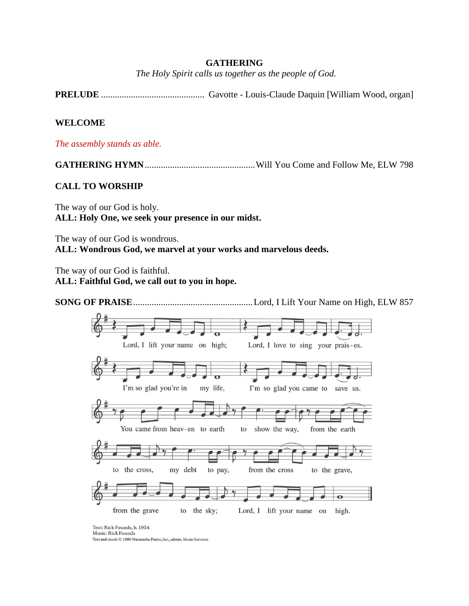#### **GATHERING**

*The Holy Spirit calls us together as the people of God.*

**PRELUDE** ............................................. Gavotte - Louis-Claude Daquin [William Wood, organ]

#### **WELCOME**

*The assembly stands as able.*

**GATHERING HYMN**................................................Will You Come and Follow Me, ELW 798

#### **CALL TO WORSHIP**

The way of our God is holy. **ALL: Holy One, we seek your presence in our midst.**

The way of our God is wondrous. **ALL: Wondrous God, we marvel at your works and marvelous deeds.**

The way of our God is faithful. **ALL: Faithful God, we call out to you in hope.**



Text: Rick Founds, b. 1954 Music: Rick Founds Text and music © 1989 Maranatha Praise, Inc., admin. Music Services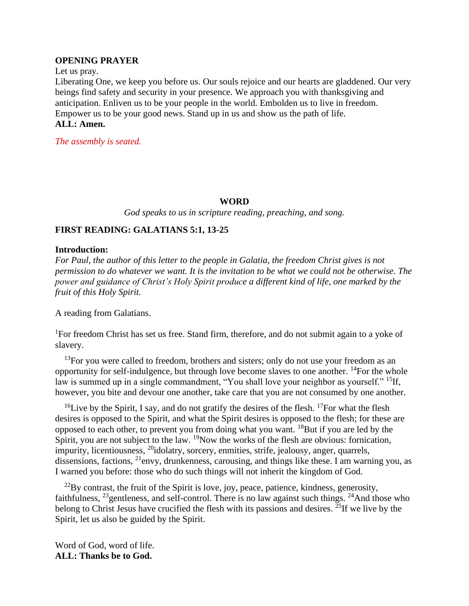#### **OPENING PRAYER**

Let us pray.

Liberating One, we keep you before us. Our souls rejoice and our hearts are gladdened. Our very beings find safety and security in your presence. We approach you with thanksgiving and anticipation. Enliven us to be your people in the world. Embolden us to live in freedom. Empower us to be your good news. Stand up in us and show us the path of life. **ALL: Amen.**

*The assembly is seated.*

#### **WORD**

*God speaks to us in scripture reading, preaching, and song.*

#### **FIRST READING: GALATIANS 5:1, 13-25**

#### **Introduction:**

*For Paul, the author of this letter to the people in Galatia, the freedom Christ gives is not permission to do whatever we want. It is the invitation to be what we could not be otherwise. The power and guidance of Christ's Holy Spirit produce a different kind of life, one marked by the fruit of this Holy Spirit.*

A reading from Galatians.

<sup>1</sup>For freedom Christ has set us free. Stand firm, therefore, and do not submit again to a yoke of slavery.

 $13$ For you were called to freedom, brothers and sisters; only do not use your freedom as an opportunity for self-indulgence, but through love become slaves to one another.  $^{14}$ For the whole law is summed up in a single commandment, "You shall love your neighbor as yourself." <sup>15</sup>If, however, you bite and devour one another, take care that you are not consumed by one another.

<sup>16</sup>Live by the Spirit, I say, and do not gratify the desires of the flesh. <sup>17</sup>For what the flesh desires is opposed to the Spirit, and what the Spirit desires is opposed to the flesh; for these are opposed to each other, to prevent you from doing what you want. <sup>18</sup>But if you are led by the Spirit, you are not subject to the law. <sup>19</sup>Now the works of the flesh are obvious: fornication, impurity, licentiousness, <sup>20</sup>idolatry, sorcery, enmities, strife, jealousy, anger, quarrels, dissensions, factions, <sup>21</sup>envy, drunkenness, carousing, and things like these. I am warning you, as I warned you before: those who do such things will not inherit the kingdom of God.

 $^{22}$ By contrast, the fruit of the Spirit is love, joy, peace, patience, kindness, generosity, faithfulness,  $^{23}$ gentleness, and self-control. There is no law against such things.  $^{24}$ And those who belong to Christ Jesus have crucified the flesh with its passions and desires. <sup>25</sup>If we live by the Spirit, let us also be guided by the Spirit.

Word of God, word of life. **ALL: Thanks be to God.**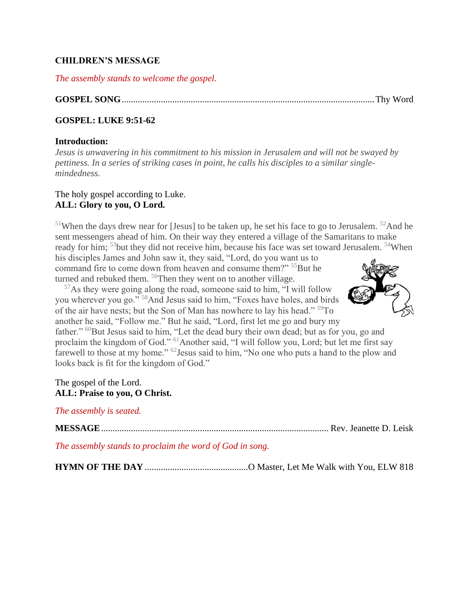## **CHILDREN'S MESSAGE**

*The assembly stands to welcome the gospel.*

**GOSPEL SONG**..............................................................................................................Thy Word

## **GOSPEL: LUKE 9:51-62**

#### **Introduction:**

*Jesus is unwavering in his commitment to his mission in Jerusalem and will not be swayed by pettiness. In a series of striking cases in point, he calls his disciples to a similar singlemindedness.*

## The holy gospel according to Luke. **ALL: Glory to you, O Lord.**

 $51$ When the days drew near for [Jesus] to be taken up, he set his face to go to Jerusalem.  $52$ And he sent messengers ahead of him. On their way they entered a village of the Samaritans to make ready for him; <sup>53</sup>but they did not receive him, because his face was set toward Jerusalem. <sup>54</sup>When his disciples James and John saw it, they said, "Lord, do you want us to

command fire to come down from heaven and consume them?" <sup>55</sup>But he turned and rebuked them. <sup>56</sup>Then they went on to another village.

<sup>57</sup>As they were going along the road, someone said to him, "I will follow you wherever you go." <sup>58</sup>And Jesus said to him, "Foxes have holes, and birds of the air have nests; but the Son of Man has nowhere to lay his head."  $59T_0$ another he said, "Follow me." But he said, "Lord, first let me go and bury my



father." <sup>60</sup>But Jesus said to him, "Let the dead bury their own dead; but as for you, go and proclaim the kingdom of God." <sup>61</sup>Another said, "I will follow you, Lord; but let me first say farewell to those at my home." <sup>62</sup>Jesus said to him, "No one who puts a hand to the plow and looks back is fit for the kingdom of God."

## The gospel of the Lord. **ALL: Praise to you, O Christ.**

*The assembly is seated.*

**MESSAGE**................................................................................................... Rev. Jeanette D. Leisk

*The assembly stands to proclaim the word of God in song.*

**HYMN OF THE DAY** .............................................O Master, Let Me Walk with You, ELW 818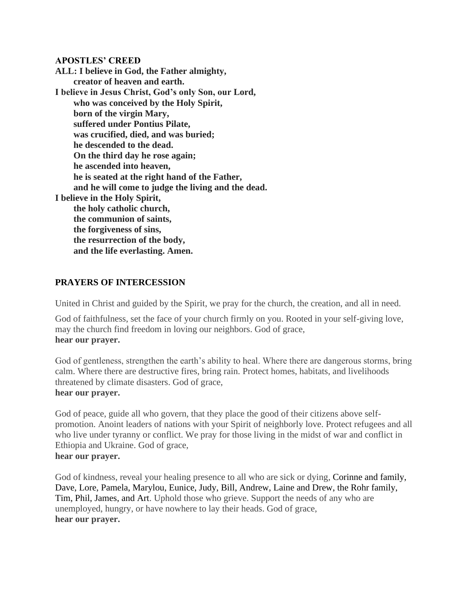#### **APOSTLES' CREED**

**ALL: I believe in God, the Father almighty, creator of heaven and earth. I believe in Jesus Christ, God's only Son, our Lord, who was conceived by the Holy Spirit, born of the virgin Mary, suffered under Pontius Pilate, was crucified, died, and was buried; he descended to the dead. On the third day he rose again; he ascended into heaven, he is seated at the right hand of the Father, and he will come to judge the living and the dead. I believe in the Holy Spirit, the holy catholic church, the communion of saints, the forgiveness of sins, the resurrection of the body, and the life everlasting. Amen.**

#### **PRAYERS OF INTERCESSION**

United in Christ and guided by the Spirit, we pray for the church, the creation, and all in need.

God of faithfulness, set the face of your church firmly on you. Rooted in your self-giving love, may the church find freedom in loving our neighbors. God of grace, **hear our prayer.**

God of gentleness, strengthen the earth's ability to heal. Where there are dangerous storms, bring calm. Where there are destructive fires, bring rain. Protect homes, habitats, and livelihoods threatened by climate disasters. God of grace, **hear our prayer.**

God of peace, guide all who govern, that they place the good of their citizens above selfpromotion. Anoint leaders of nations with your Spirit of neighborly love. Protect refugees and all who live under tyranny or conflict. We pray for those living in the midst of war and conflict in Ethiopia and Ukraine. God of grace, **hear our prayer.**

God of kindness, reveal your healing presence to all who are sick or dying, Corinne and family, Dave, Lore, Pamela, Marylou, Eunice, Judy, Bill, Andrew, Laine and Drew, the Rohr family, Tim, Phil, James, and Art. Uphold those who grieve. Support the needs of any who are unemployed, hungry, or have nowhere to lay their heads. God of grace, **hear our prayer.**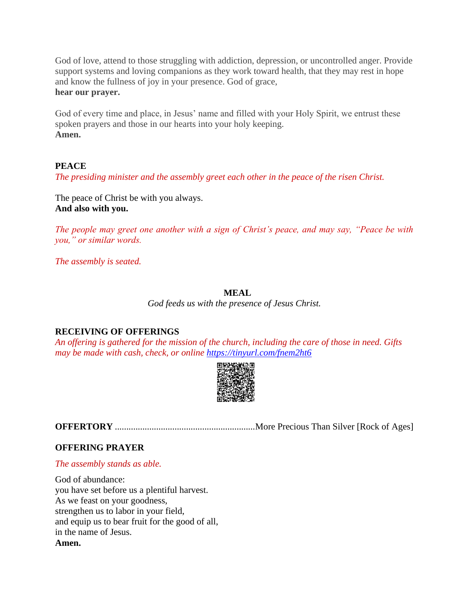God of love, attend to those struggling with addiction, depression, or uncontrolled anger. Provide support systems and loving companions as they work toward health, that they may rest in hope and know the fullness of joy in your presence. God of grace, **hear our prayer.**

God of every time and place, in Jesus' name and filled with your Holy Spirit, we entrust these spoken prayers and those in our hearts into your holy keeping. **Amen.**

#### **PEACE**

*The presiding minister and the assembly greet each other in the peace of the risen Christ.*

The peace of Christ be with you always. **And also with you.**

*The people may greet one another with a sign of Christ's peace, and may say, "Peace be with you," or similar words.*

*The assembly is seated.*

#### **MEAL**

*God feeds us with the presence of Jesus Christ.*

#### **RECEIVING OF OFFERINGS**

*An offering is gathered for the mission of the church, including the care of those in need. Gifts may be made with cash, check, or online<https://tinyurl.com/fnem2ht6>*



**OFFERTORY** .............................................................More Precious Than Silver [Rock of Ages]

## **OFFERING PRAYER**

*The assembly stands as able.*

God of abundance: you have set before us a plentiful harvest. As we feast on your goodness, strengthen us to labor in your field, and equip us to bear fruit for the good of all, in the name of Jesus. **Amen.**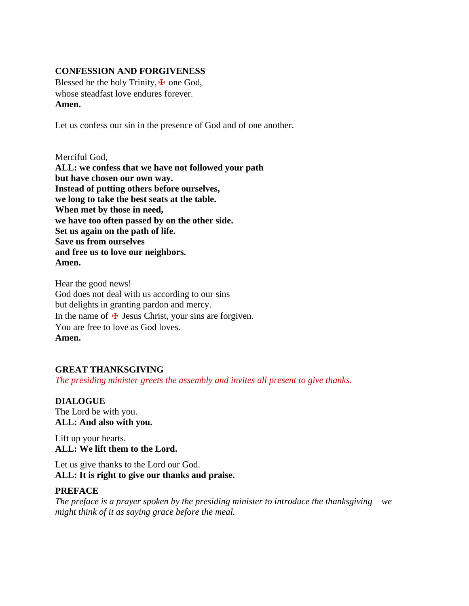### **CONFESSION AND FORGIVENESS**

Blessed be the holy Trinity,  $\pm$  one God, whose steadfast love endures forever. **Amen.**

Let us confess our sin in the presence of God and of one another.

Merciful God, **ALL: we confess that we have not followed your path but have chosen our own way. Instead of putting others before ourselves, we long to take the best seats at the table. When met by those in need, we have too often passed by on the other side. Set us again on the path of life. Save us from ourselves and free us to love our neighbors. Amen.**

Hear the good news! God does not deal with us according to our sins but delights in granting pardon and mercy. In the name of  $\overline{+}$  Jesus Christ, your sins are forgiven. You are free to love as God loves. **Amen.**

#### **GREAT THANKSGIVING**

*The presiding minister greets the assembly and invites all present to give thanks.*

#### **DIALOGUE**

The Lord be with you. **ALL: And also with you.**

Lift up your hearts. **ALL: We lift them to the Lord.**

Let us give thanks to the Lord our God. **ALL: It is right to give our thanks and praise.**

#### **PREFACE**

*The preface is a prayer spoken by the presiding minister to introduce the thanksgiving – we might think of it as saying grace before the meal.*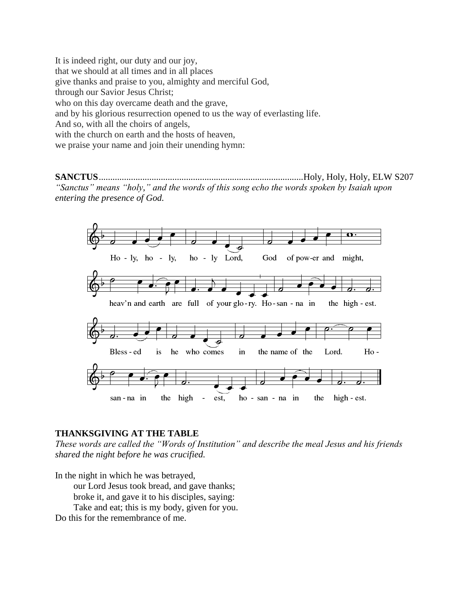It is indeed right, our duty and our joy, that we should at all times and in all places give thanks and praise to you, almighty and merciful God, through our Savior Jesus Christ; who on this day overcame death and the grave, and by his glorious resurrection opened to us the way of everlasting life. And so, with all the choirs of angels, with the church on earth and the hosts of heaven, we praise your name and join their unending hymn:

**SANCTUS**.........................................................................................Holy, Holy, Holy, ELW S207 *"Sanctus" means "holy," and the words of this song echo the words spoken by Isaiah upon entering the presence of God.*



#### **THANKSGIVING AT THE TABLE**

*These words are called the "Words of Institution" and describe the meal Jesus and his friends shared the night before he was crucified.*

In the night in which he was betrayed, our Lord Jesus took bread, and gave thanks; broke it, and gave it to his disciples, saying: Take and eat; this is my body, given for you. Do this for the remembrance of me.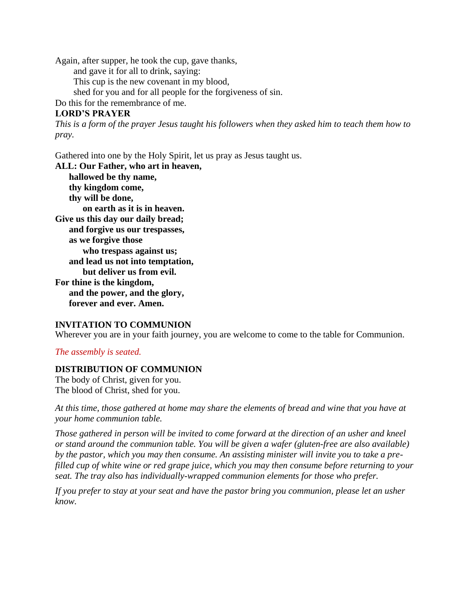Again, after supper, he took the cup, gave thanks,

and gave it for all to drink, saying:

This cup is the new covenant in my blood,

shed for you and for all people for the forgiveness of sin.

Do this for the remembrance of me.

### **LORD'S PRAYER**

*This is a form of the prayer Jesus taught his followers when they asked him to teach them how to pray.*

Gathered into one by the Holy Spirit, let us pray as Jesus taught us.

**ALL: Our Father, who art in heaven, hallowed be thy name, thy kingdom come, thy will be done, on earth as it is in heaven. Give us this day our daily bread; and forgive us our trespasses, as we forgive those who trespass against us; and lead us not into temptation, but deliver us from evil. For thine is the kingdom, and the power, and the glory, forever and ever. Amen.**

#### **INVITATION TO COMMUNION**

Wherever you are in your faith journey, you are welcome to come to the table for Communion.

#### *The assembly is seated.*

#### **DISTRIBUTION OF COMMUNION**

The body of Christ, given for you. The blood of Christ, shed for you.

*At this time, those gathered at home may share the elements of bread and wine that you have at your home communion table.*

*Those gathered in person will be invited to come forward at the direction of an usher and kneel or stand around the communion table. You will be given a wafer (gluten-free are also available) by the pastor, which you may then consume. An assisting minister will invite you to take a prefilled cup of white wine or red grape juice, which you may then consume before returning to your seat. The tray also has individually-wrapped communion elements for those who prefer.*

*If you prefer to stay at your seat and have the pastor bring you communion, please let an usher know.*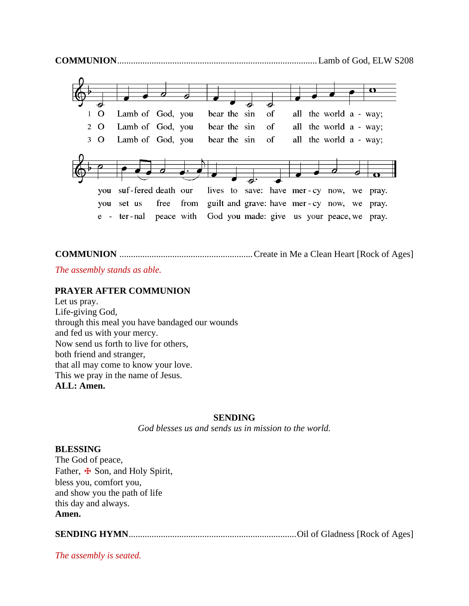

**COMMUNION** ..........................................................Create in Me a Clean Heart [Rock of Ages]

*The assembly stands as able.*

## **PRAYER AFTER COMMUNION**

Let us pray. Life-giving God, through this meal you have bandaged our wounds and fed us with your mercy. Now send us forth to live for others, both friend and stranger, that all may come to know your love. This we pray in the name of Jesus. **ALL: Amen.**

## **SENDING**

*God blesses us and sends us in mission to the world.*

## **BLESSING**

The God of peace, Father,  $\pm$  Son, and Holy Spirit, bless you, comfort you, and show you the path of life this day and always. **Amen.**

**SENDING HYMN**.........................................................................Oil of Gladness [Rock of Ages]

*The assembly is seated.*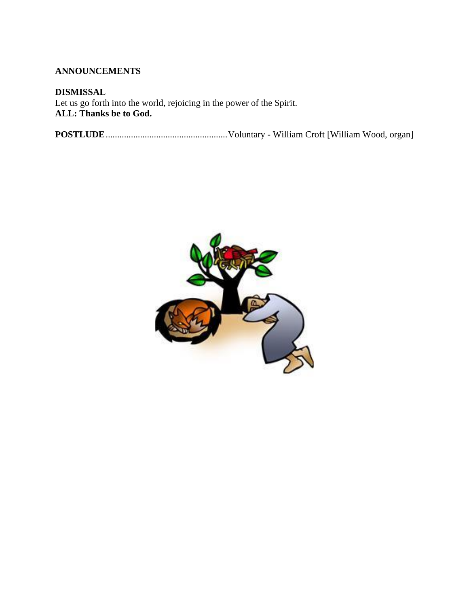## **ANNOUNCEMENTS**

#### **DISMISSAL**

Let us go forth into the world, rejoicing in the power of the Spirit. **ALL: Thanks be to God.**

**POSTLUDE**.....................................................Voluntary - William Croft [William Wood, organ]

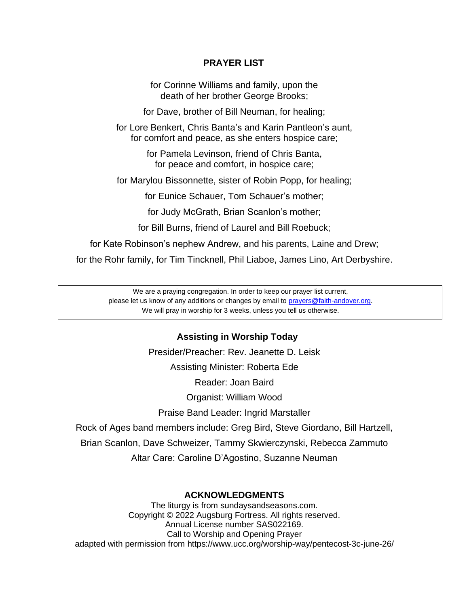## **PRAYER LIST**

for Corinne Williams and family, upon the death of her brother George Brooks;

for Dave, brother of Bill Neuman, for healing;

for Lore Benkert, Chris Banta's and Karin Pantleon's aunt, for comfort and peace, as she enters hospice care;

> for Pamela Levinson, friend of Chris Banta, for peace and comfort, in hospice care;

for Marylou Bissonnette, sister of Robin Popp, for healing;

for Eunice Schauer, Tom Schauer's mother;

for Judy McGrath, Brian Scanlon's mother;

for Bill Burns, friend of Laurel and Bill Roebuck;

for Kate Robinson's nephew Andrew, and his parents, Laine and Drew;

for the Rohr family, for Tim Tincknell, Phil Liaboe, James Lino, Art Derbyshire.

We are a praying congregation. In order to keep our prayer list current, please let us know of any additions or changes by email to [prayers@faith-andover.org.](mailto:prayers@faith-andover.org) We will pray in worship for 3 weeks, unless you tell us otherwise.

## **Assisting in Worship Today**

Presider/Preacher: Rev. Jeanette D. Leisk Assisting Minister: Roberta Ede Reader: Joan Baird Organist: William Wood Praise Band Leader: Ingrid Marstaller Rock of Ages band members include: Greg Bird, Steve Giordano, Bill Hartzell, Brian Scanlon, Dave Schweizer, Tammy Skwierczynski, Rebecca Zammuto

Altar Care: Caroline D'Agostino, Suzanne Neuman

#### **ACKNOWLEDGMENTS**

The liturgy is from sundaysandseasons.com. Copyright © 2022 Augsburg Fortress. All rights reserved. Annual License number SAS022169. Call to Worship and Opening Prayer adapted with permission from https://www.ucc.org/worship-way/pentecost-3c-june-26/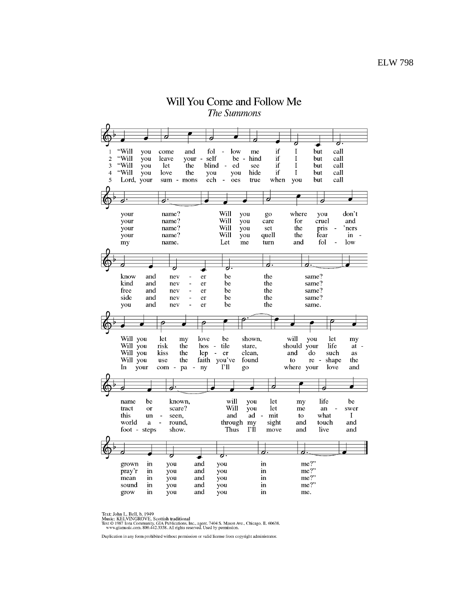## Will You Come and Follow Me The Summons



Text: John L. Bell, b. 1949<br>Music: KELVINGROVE, Scottish traditional<br>Text © 1987 Iona Community, GIA Publications, Inc., agent. 7404 S. Mason Ave., Chicago, IL 60638.<br>WWW.giamusic.com. 800.442.3358. All rights reserved. Us

Duplication in any form prohibited without permission or valid license from copyright administrator.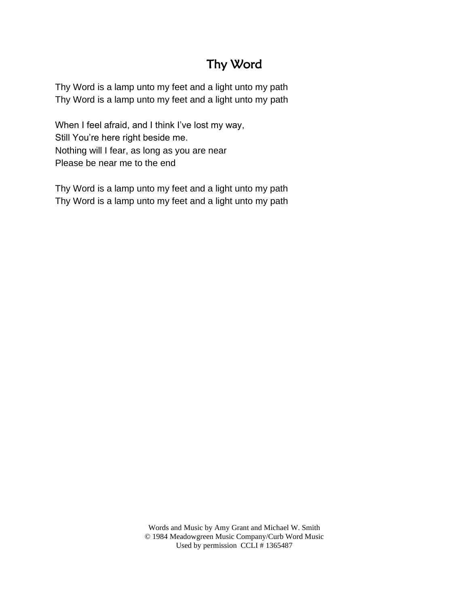## Thy Word

Thy Word is a lamp unto my feet and a light unto my path Thy Word is a lamp unto my feet and a light unto my path

When I feel afraid, and I think I've lost my way, Still You're here right beside me. Nothing will I fear, as long as you are near Please be near me to the end

Thy Word is a lamp unto my feet and a light unto my path Thy Word is a lamp unto my feet and a light unto my path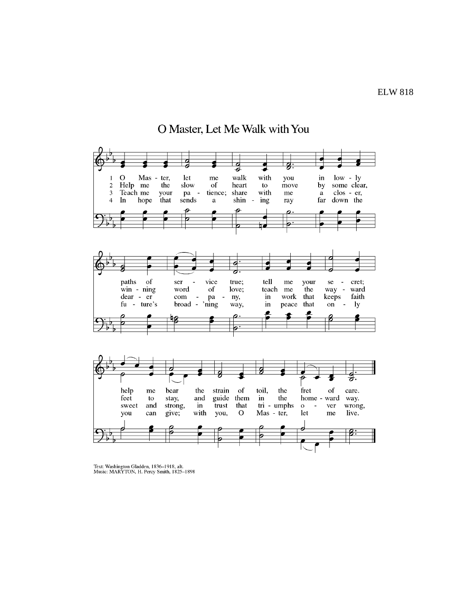

## O Master, Let Me Walk with You

Text: Washington Gladden, 1836-1918, alt.<br>Music: MARYTON, H. Percy Smith, 1825-1898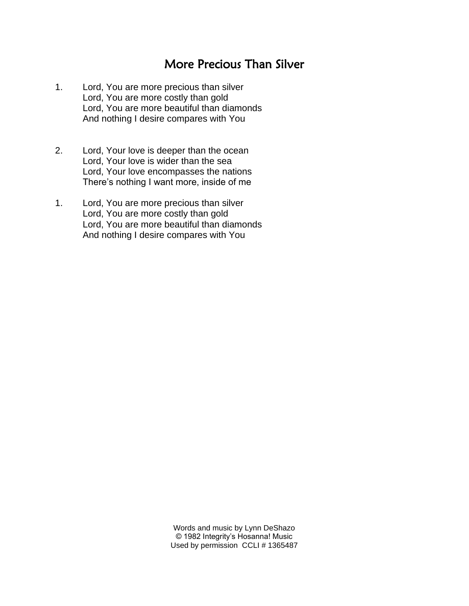## More Precious Than Silver

- 1. Lord, You are more precious than silver Lord, You are more costly than gold Lord, You are more beautiful than diamonds And nothing I desire compares with You
- 2. Lord, Your love is deeper than the ocean Lord, Your love is wider than the sea Lord, Your love encompasses the nations There's nothing I want more, inside of me
- 1. Lord, You are more precious than silver Lord, You are more costly than gold Lord, You are more beautiful than diamonds And nothing I desire compares with You

Words and music by Lynn DeShazo © 1982 Integrity's Hosanna! Music Used by permission CCLI # 1365487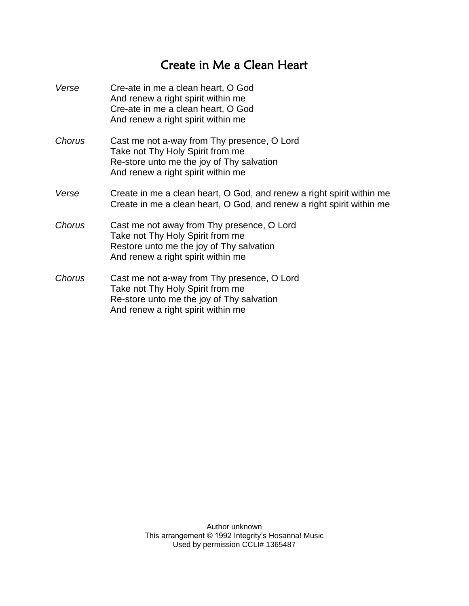## Create in Me a Clean Heart

| Verse         | Cre-ate in me a clean heart, O God<br>And renew a right spirit within me<br>Cre-ate in me a clean heart, O God<br>And renew a right spirit within me               |
|---------------|--------------------------------------------------------------------------------------------------------------------------------------------------------------------|
| Chorus        | Cast me not a-way from Thy presence, O Lord<br>Take not Thy Holy Spirit from me<br>Re-store unto me the joy of Thy salvation<br>And renew a right spirit within me |
| Verse         | Create in me a clean heart, O God, and renew a right spirit within me<br>Create in me a clean heart, O God, and renew a right spirit within me                     |
| <b>Chorus</b> | Cast me not away from Thy presence, O Lord<br>Take not Thy Holy Spirit from me<br>Restore unto me the joy of Thy salvation<br>And renew a right spirit within me   |
| Chorus        | Cast me not a-way from Thy presence, O Lord<br>Take not Thy Holy Spirit from me<br>Re-store unto me the joy of Thy salvation<br>And renew a right spirit within me |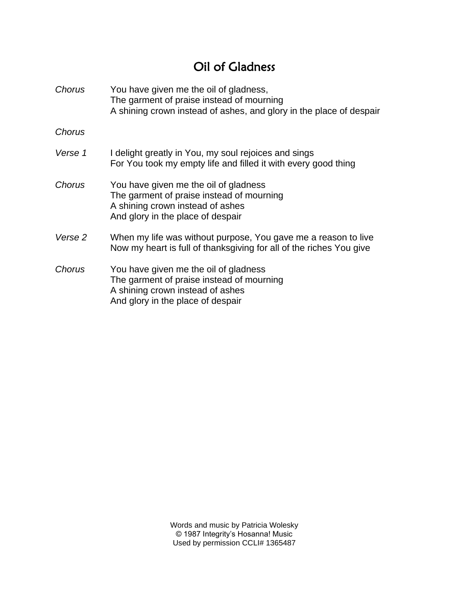# Oil of Gladness

| Chorus  | You have given me the oil of gladness,<br>The garment of praise instead of mourning<br>A shining crown instead of ashes, and glory in the place of despair  |
|---------|-------------------------------------------------------------------------------------------------------------------------------------------------------------|
| Chorus  |                                                                                                                                                             |
| Verse 1 | I delight greatly in You, my soul rejoices and sings<br>For You took my empty life and filled it with every good thing                                      |
| Chorus  | You have given me the oil of gladness<br>The garment of praise instead of mourning<br>A shining crown instead of ashes<br>And glory in the place of despair |
| Verse 2 | When my life was without purpose, You gave me a reason to live<br>Now my heart is full of thanksgiving for all of the riches You give                       |
| Chorus  | You have given me the oil of gladness<br>The garment of praise instead of mourning<br>A shining crown instead of ashes<br>And glory in the place of despair |

Words and music by Patricia Wolesky © 1987 Integrity's Hosanna! Music Used by permission CCLI# 1365487